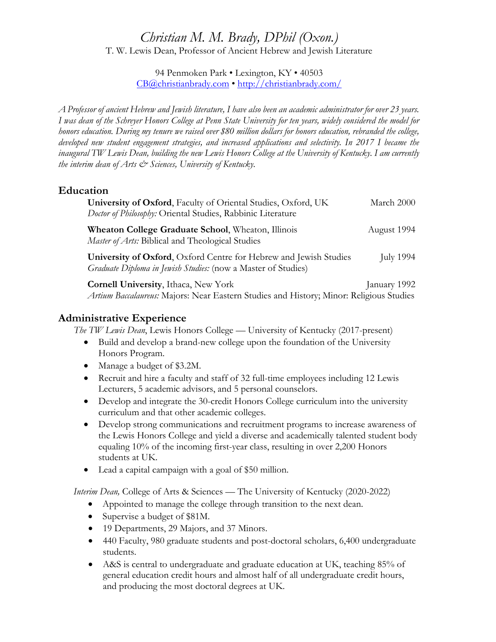# *Christian M. M. Brady, DPhil (Oxon.)*

T. W. Lewis Dean, Professor of Ancient Hebrew and Jewish Literature

94 Penmoken Park • Lexington, KY • 40503 CB@christianbrady.com • http://christianbrady.com/

*A Professor of ancient Hebrew and Jewish literature, I have also been an academic administrator for over 23 years. I was dean of the Schreyer Honors College at Penn State University for ten years, widely considered the model for honors education. During my tenure we raised over \$80 million dollars for honors education, rebranded the college, developed new student engagement strategies, and increased applications and selectivity. In 2017 I became the inaugural TW Lewis Dean, building the new Lewis Honors College at the University of Kentucky. I am currently the interim dean of Arts & Sciences, University of Kentucky.*

# **Education**

| University of Oxford, Faculty of Oriental Studies, Oxford, UK<br>Doctor of Philosophy: Oriental Studies, Rabbinic Literature              | March 2000   |
|-------------------------------------------------------------------------------------------------------------------------------------------|--------------|
| <b>Wheaton College Graduate School, Wheaton, Illinois</b><br><i>Master of Arts:</i> Biblical and Theological Studies                      | August 1994  |
| University of Oxford, Oxford Centre for Hebrew and Jewish Studies<br><i>Graduate Diploma in Jewish Studies:</i> (now a Master of Studies) | July 1994    |
| <b>Cornell University, Ithaca, New York</b>                                                                                               | January 1992 |
| Artium Baccalaureus: Majors: Near Eastern Studies and History; Minor: Religious Studies                                                   |              |

# **Administrative Experience**

*The TW Lewis Dean*, Lewis Honors College — University of Kentucky (2017-present)

- Build and develop a brand-new college upon the foundation of the University Honors Program.
- Manage a budget of \$3.2M.
- Recruit and hire a faculty and staff of 32 full-time employees including 12 Lewis Lecturers, 5 academic advisors, and 5 personal counselors.
- Develop and integrate the 30-credit Honors College curriculum into the university curriculum and that other academic colleges.
- Develop strong communications and recruitment programs to increase awareness of the Lewis Honors College and yield a diverse and academically talented student body equaling 10% of the incoming first-year class, resulting in over 2,200 Honors students at UK.
- Lead a capital campaign with a goal of \$50 million.

*Interim Dean,* College of Arts & Sciences — The University of Kentucky (2020-2022)

- Appointed to manage the college through transition to the next dean.
- Supervise a budget of \$81M.
- 19 Departments, 29 Majors, and 37 Minors.
- 440 Faculty, 980 graduate students and post-doctoral scholars, 6,400 undergraduate students.
- A&S is central to undergraduate and graduate education at UK, teaching 85% of general education credit hours and almost half of all undergraduate credit hours, and producing the most doctoral degrees at UK.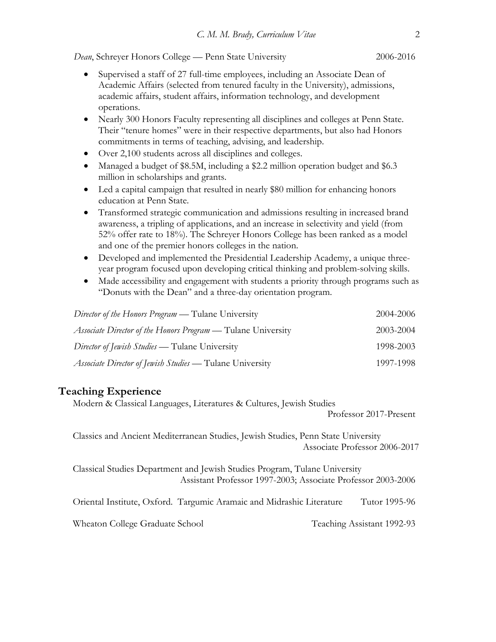*Dean*, Schreyer Honors College — Penn State University 2006-2016

- Supervised a staff of 27 full-time employees, including an Associate Dean of Academic Affairs (selected from tenured faculty in the University), admissions, academic affairs, student affairs, information technology, and development operations.
- Nearly 300 Honors Faculty representing all disciplines and colleges at Penn State. Their "tenure homes" were in their respective departments, but also had Honors commitments in terms of teaching, advising, and leadership.
- Over 2,100 students across all disciplines and colleges.
- Managed a budget of \$8.5M, including a \$2.2 million operation budget and \$6.3 million in scholarships and grants.
- Led a capital campaign that resulted in nearly \$80 million for enhancing honors education at Penn State.
- Transformed strategic communication and admissions resulting in increased brand awareness, a tripling of applications, and an increase in selectivity and yield (from 52% offer rate to 18%). The Schreyer Honors College has been ranked as a model and one of the premier honors colleges in the nation.
- Developed and implemented the Presidential Leadership Academy, a unique threeyear program focused upon developing critical thinking and problem-solving skills.
- Made accessibility and engagement with students a priority through programs such as "Donuts with the Dean" and a three-day orientation program.

| <i>Director of the Honors Program</i> — Tulane University           | 2004-2006 |
|---------------------------------------------------------------------|-----------|
| <i>Associate Director of the Honors Program</i> — Tulane University | 2003-2004 |
| <i>Director of Jewish Studies</i> — Tulane University               | 1998-2003 |
| <i>Associate Director of Jewish Studies</i> — Tulane University     | 1997-1998 |

# **Teaching Experience**

Modern & Classical Languages, Literatures & Cultures, Jewish Studies

Professor 2017-Present

Classics and Ancient Mediterranean Studies, Jewish Studies, Penn State University Associate Professor 2006-2017

Classical Studies Department and Jewish Studies Program, Tulane University Assistant Professor 1997-2003; Associate Professor 2003-2006

Oriental Institute, Oxford. Targumic Aramaic and Midrashic Literature Tutor 1995-96

Wheaton College Graduate School Teaching Assistant 1992-93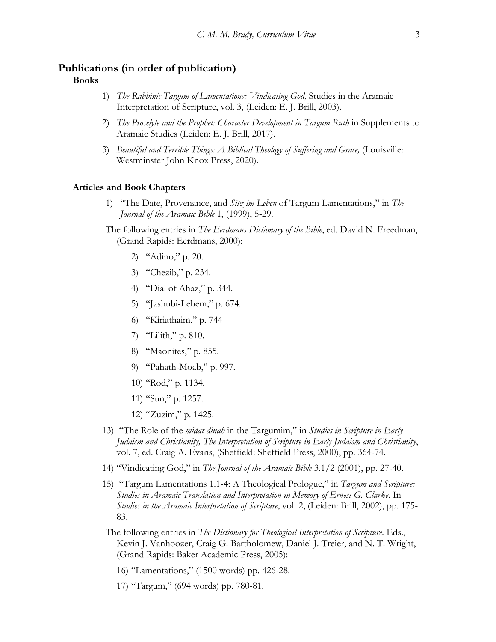#### **Publications (in order of publication) Books**

- 1) *The Rabbinic Targum of Lamentations: Vindicating God,* Studies in the Aramaic Interpretation of Scripture, vol. 3, (Leiden: E. J. Brill, 2003).
- 2) *The Proselyte and the Prophet: Character Development in Targum Ruth* in Supplements to Aramaic Studies (Leiden: E. J. Brill, 2017).
- 3) *Beautiful and Terrible Things: A Biblical Theology of Suffering and Grace,* (Louisville: Westminster John Knox Press, 2020).

#### **Articles and Book Chapters**

- 1) "The Date, Provenance, and *Sitz im Leben* of Targum Lamentations," in *The Journal of the Aramaic Bible* 1, (1999), 5-29.
- The following entries in *The Eerdmans Dictionary of the Bible*, ed. David N. Freedman, (Grand Rapids: Eerdmans, 2000):
	- 2) "Adino," p. 20.
	- 3) "Chezib," p. 234.
	- 4) "Dial of Ahaz," p. 344.
	- 5) "Jashubi-Lehem," p. 674.
	- 6) "Kiriathaim," p. 744
	- 7) "Lilith," p. 810.
	- 8) "Maonites," p. 855.
	- 9) "Pahath-Moab," p. 997.
	- 10) "Rod," p. 1134.
	- 11) "Sun," p. 1257.
	- 12) "Zuzim," p. 1425.
- 13) "The Role of the *midat dinah* in the Targumim," in *Studies in Scripture in Early Judaism and Christianity, The Interpretation of Scripture in Early Judaism and Christianity*, vol. 7, ed. Craig A. Evans, (Sheffield: Sheffield Press, 2000), pp. 364-74.
- 14) "Vindicating God," in *The Journal of the Aramaic Bible* 3.1/2 (2001), pp. 27-40.
- 15) "Targum Lamentations 1.1-4: A Theological Prologue," in *Targum and Scripture: Studies in Aramaic Translation and Interpretation in Memory of Ernest G. Clarke*. In *Studies in the Aramaic Interpretation of Scripture*, vol. 2, (Leiden: Brill, 2002), pp. 175- 83.
- The following entries in *The Dictionary for Theological Interpretation of Scripture*. Eds., Kevin J. Vanhoozer, Craig G. Bartholomew, Daniel J. Treier, and N. T. Wright, (Grand Rapids: Baker Academic Press, 2005):
	- 16) "Lamentations," (1500 words) pp. 426-28.
	- 17) "Targum," (694 words) pp. 780-81.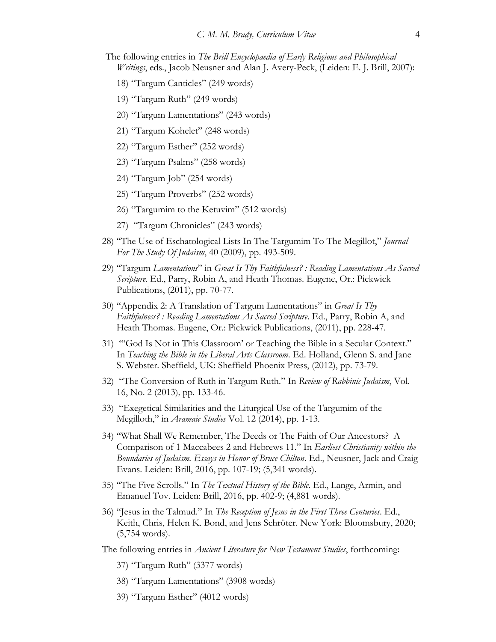- The following entries in *The Brill Encyclopaedia of Early Religious and Philosophical Writings*, eds., Jacob Neusner and Alan J. Avery-Peck, (Leiden: E. J. Brill, 2007):
	- 18) "Targum Canticles" (249 words)
	- 19) "Targum Ruth" (249 words)
	- 20) "Targum Lamentations" (243 words)
	- 21) "Targum Kohelet" (248 words)
	- 22) "Targum Esther" (252 words)
	- 23) "Targum Psalms" (258 words)
	- 24) "Targum Job" (254 words)
	- 25) "Targum Proverbs" (252 words)
	- 26) "Targumim to the Ketuvim" (512 words)
	- 27) "Targum Chronicles" (243 words)
- 28) "The Use of Eschatological Lists In The Targumim To The Megillot," *Journal For The Study Of Judaism*, 40 (2009), pp. 493-509.
- 29) "Targum *Lamentations*" in *Great Is Thy Faithfulness? : Reading Lamentations As Sacred Scripture*. Ed., Parry, Robin A, and Heath Thomas. Eugene, Or.: Pickwick Publications, (2011), pp. 70-77.
- 30) "Appendix 2: A Translation of Targum Lamentations" in *Great Is Thy Faithfulness? : Reading Lamentations As Sacred Scripture*. Ed., Parry, Robin A, and Heath Thomas. Eugene, Or.: Pickwick Publications, (2011), pp. 228-47.
- 31) "'God Is Not in This Classroom' or Teaching the Bible in a Secular Context." In *Teaching the Bible in the Liberal Arts Classroom*. Ed. Holland, Glenn S. and Jane S. Webster. Sheffield, UK: Sheffield Phoenix Press, (2012), pp. 73-79.
- 32) "The Conversion of Ruth in Targum Ruth." In *Review of Rabbinic Judaism*, Vol. 16, No. 2 (2013)*,* pp. 133-46.
- 33) "Exegetical Similarities and the Liturgical Use of the Targumim of the Megilloth," in *Aramaic Studies* Vol. 12 (2014), pp. 1-13*.*
- 34) "What Shall We Remember, The Deeds or The Faith of Our Ancestors? A Comparison of 1 Maccabees 2 and Hebrews 11." In *Earliest Christianity within the Boundaries of Judaism. Essays in Honor of Bruce Chilton*. Ed., Neusner, Jack and Craig Evans. Leiden: Brill, 2016, pp. 107-19; (5,341 words).
- 35) "The Five Scrolls." In *The Textual History of the Bible*. Ed., Lange, Armin, and Emanuel Tov. Leiden: Brill, 2016, pp. 402-9; (4,881 words).
- 36) "Jesus in the Talmud." In *The Reception of Jesus in the First Three Centuries*. Ed., Keith, Chris, Helen K. Bond, and Jens Schröter. New York: Bloomsbury, 2020; (5,754 words).
- The following entries in *Ancient Literature for New Testament Studies*, forthcoming:
	- 37) "Targum Ruth" (3377 words)
	- 38) "Targum Lamentations" (3908 words)
	- 39) "Targum Esther" (4012 words)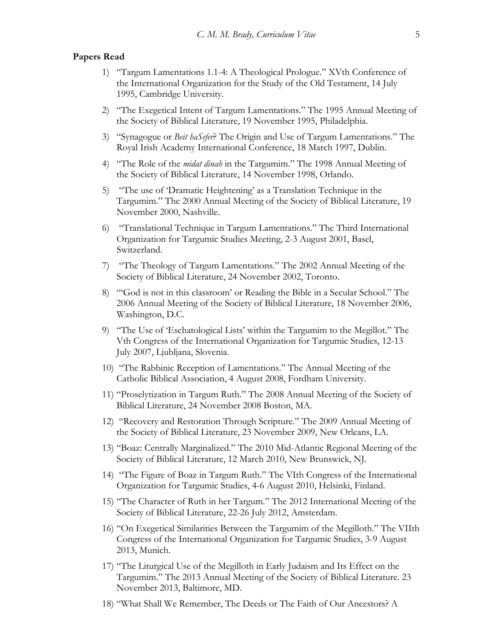#### **Papers Read**

- 1) "Targum Lamentations 1.1-4: A Theological Prologue." XVth Conference of the International Organization for the Study of the Old Testament, 14 July 1995, Cambridge University.
- 2) "The Exegetical Intent of Targum Lamentations." The 1995 Annual Meeting of the Society of Biblical Literature, 19 November 1995, Philadelphia.
- 3) "Synagogue or *Beit haSefer*? The Origin and Use of Targum Lamentations." The Royal Irish Academy International Conference, 18 March 1997, Dublin.
- 4) "The Role of the *midat dinah* in the Targumim." The 1998 Annual Meeting of the Society of Biblical Literature, 14 November 1998, Orlando.
- 5) "The use of 'Dramatic Heightening' as a Translation Technique in the Targumim." The 2000 Annual Meeting of the Society of Biblical Literature, 19 November 2000, Nashville.
- 6) "Translational Technique in Targum Lamentations." The Third International Organization for Targumic Studies Meeting, 2-3 August 2001, Basel, Switzerland.
- 7) "The Theology of Targum Lamentations." The 2002 Annual Meeting of the Society of Biblical Literature, 24 November 2002, Toronto.
- 8) "'God is not in this classroom' or Reading the Bible in a Secular School." The 2006 Annual Meeting of the Society of Biblical Literature, 18 November 2006, Washington, D.C.
- 9) "The Use of 'Eschatological Lists' within the Targumim to the Megillot." The Vth Congress of the International Organization for Targumic Studies, 12-13 July 2007, Ljubljana, Slovenia.
- 10) "The Rabbinic Reception of Lamentations." The Annual Meeting of the Catholic Biblical Association, 4 August 2008, Fordham University.
- 11) "Proselytization in Targum Ruth." The 2008 Annual Meeting of the Society of Biblical Literature, 24 November 2008 Boston, MA.
- 12) "Recovery and Restoration Through Scripture." The 2009 Annual Meeting of the Society of Biblical Literature, 23 November 2009, New Orleans, LA.
- 13) "Boaz: Centrally Marginalized." The 2010 Mid-Atlantic Regional Meeting of the Society of Biblical Literature, 12 March 2010, New Brunswick, NJ.
- 14) "The Figure of Boaz in Targum Ruth." The VIth Congress of the International Organization for Targumic Studies, 4-6 August 2010, Helsinki, Finland.
- 15) "The Character of Ruth in her Targum." The 2012 International Meeting of the Society of Biblical Literature, 22-26 July 2012, Amsterdam.
- 16) "On Exegetical Similarities Between the Targumim of the Megilloth." The VIIth Congress of the International Organization for Targumic Studies, 3-9 August 2013, Munich.
- 17) "The Liturgical Use of the Megilloth in Early Judaism and Its Effect on the Targumim." The 2013 Annual Meeting of the Society of Biblical Literature. 23 November 2013, Baltimore, MD.
- 18) "What Shall We Remember, The Deeds or The Faith of Our Ancestors? A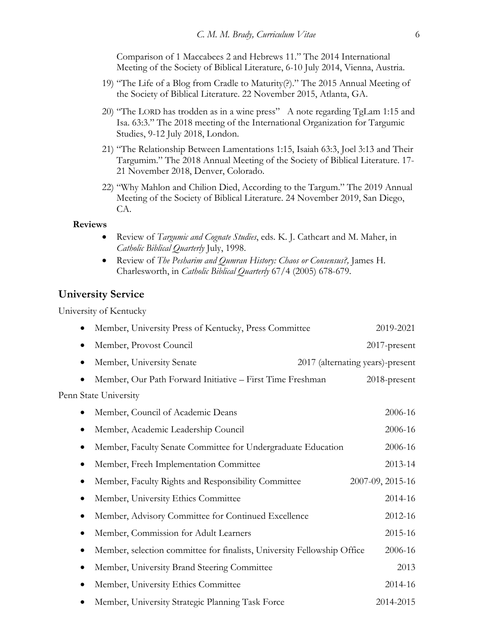Comparison of 1 Maccabees 2 and Hebrews 11." The 2014 International Meeting of the Society of Biblical Literature, 6-10 July 2014, Vienna, Austria.

- 19) "The Life of a Blog from Cradle to Maturity(?)." The 2015 Annual Meeting of the Society of Biblical Literature. 22 November 2015, Atlanta, GA.
- 20) "The LORD has trodden as in a wine press" A note regarding TgLam 1:15 and Isa. 63:3." The 2018 meeting of the International Organization for Targumic Studies, 9-12 July 2018, London.
- 21) "The Relationship Between Lamentations 1:15, Isaiah 63:3, Joel 3:13 and Their Targumim." The 2018 Annual Meeting of the Society of Biblical Literature. 17- 21 November 2018, Denver, Colorado.
- 22) "Why Mahlon and Chilion Died, According to the Targum." The 2019 Annual Meeting of the Society of Biblical Literature. 24 November 2019, San Diego, CA.

#### **Reviews**

- Review of *Targumic and Cognate Studies*, eds. K. J. Cathcart and M. Maher, in *Catholic Biblical Quarterly* July, 1998.
- Review of *The Pesharim and Qumran History: Chaos or Consensus?,* James H. Charlesworth, in *Catholic Biblical Quarterly* 67/4 (2005) 678-679.

## **University Service**

University of Kentucky

| Member, University Press of Kentucky, Press Committee<br>٠                   | 2019-2021                        |
|------------------------------------------------------------------------------|----------------------------------|
| Member, Provost Council<br>$\bullet$                                         | $2017$ -present                  |
| Member, University Senate<br>$\bullet$                                       | 2017 (alternating years)-present |
| Member, Our Path Forward Initiative - First Time Freshman                    | 2018-present                     |
| Penn State University                                                        |                                  |
| Member, Council of Academic Deans                                            | 2006-16                          |
| Member, Academic Leadership Council<br>$\bullet$                             | 2006-16                          |
| Member, Faculty Senate Committee for Undergraduate Education<br>$\bullet$    | 2006-16                          |
| Member, Freeh Implementation Committee<br>$\bullet$                          | 2013-14                          |
| Member, Faculty Rights and Responsibility Committee<br>٠                     | 2007-09, 2015-16                 |
| Member, University Ethics Committee<br>$\bullet$                             | 2014-16                          |
| Member, Advisory Committee for Continued Excellence<br>$\bullet$             | 2012-16                          |
| Member, Commission for Adult Learners<br>$\bullet$                           | 2015-16                          |
| Member, selection committee for finalists, University Fellowship Office<br>٠ | 2006-16                          |
| Member, University Brand Steering Committee<br>$\bullet$                     | 2013                             |
| Member, University Ethics Committee                                          | 2014-16                          |
| Member, University Strategic Planning Task Force                             | 2014-2015                        |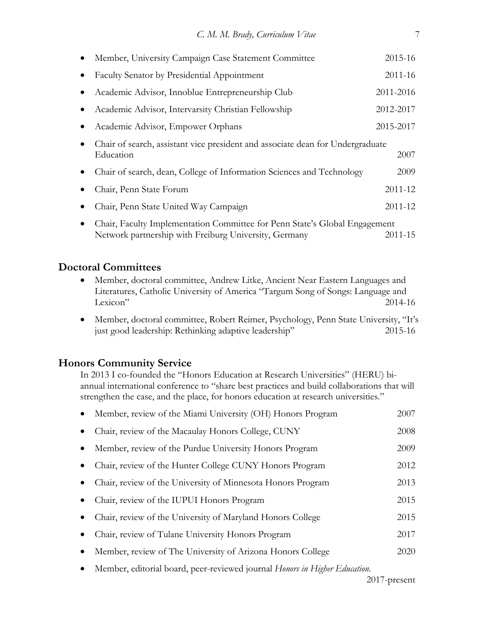| Member, University Campaign Case Statement Committee                                                                                | 2015-16   |
|-------------------------------------------------------------------------------------------------------------------------------------|-----------|
| Faculty Senator by Presidential Appointment                                                                                         | 2011-16   |
| Academic Advisor, Innoblue Entrepreneurship Club                                                                                    | 2011-2016 |
| Academic Advisor, Intervarsity Christian Fellowship                                                                                 | 2012-2017 |
| Academic Advisor, Empower Orphans                                                                                                   | 2015-2017 |
| Chair of search, assistant vice president and associate dean for Undergraduate<br>Education                                         | 2007      |
| Chair of search, dean, College of Information Sciences and Technology                                                               | 2009      |
| Chair, Penn State Forum                                                                                                             | 2011-12   |
| Chair, Penn State United Way Campaign                                                                                               | 2011-12   |
| Chair, Faculty Implementation Committee for Penn State's Global Engagement<br>Network partnership with Freiburg University, Germany | 2011-15   |

## **Doctoral Committees**

- Member, doctoral committee, Andrew Litke, Ancient Near Eastern Languages and Literatures, Catholic University of America "Targum Song of Songs: Language and Lexicon" 2014-16
- Member, doctoral committee, Robert Reimer, Psychology, Penn State University, "It's just good leadership: Rethinking adaptive leadership" 2015-16

## **Honors Community Service**

In 2013 I co-founded the "Honors Education at Research Universities" (HERU) biannual international conference to "share best practices and build collaborations that will strengthen the case, and the place, for honors education at research universities."

| Member, review of the Miami University (OH) Honors Program                 | 2007 |
|----------------------------------------------------------------------------|------|
| Chair, review of the Macaulay Honors College, CUNY                         | 2008 |
| Member, review of the Purdue University Honors Program                     | 2009 |
| Chair, review of the Hunter College CUNY Honors Program                    | 2012 |
| Chair, review of the University of Minnesota Honors Program                | 2013 |
| Chair, review of the IUPUI Honors Program                                  | 2015 |
| Chair, review of the University of Maryland Honors College                 | 2015 |
| Chair, review of Tulane University Honors Program                          | 2017 |
| Member, review of The University of Arizona Honors College                 | 2020 |
| Member, editorial board, peer-reviewed journal Honors in Higher Education. |      |